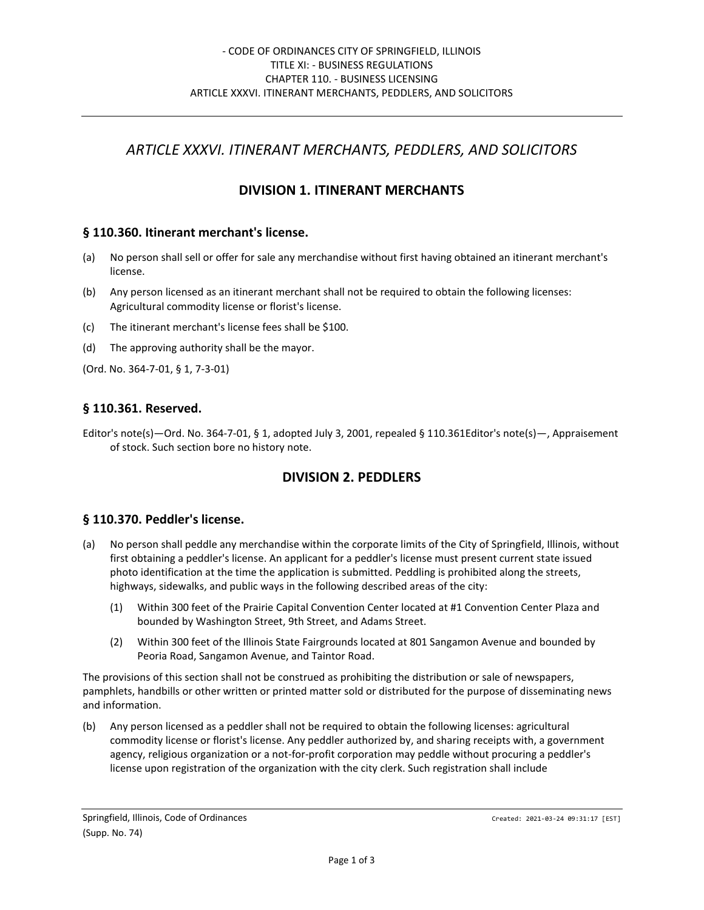# *ARTICLE XXXVI. ITINERANT MERCHANTS, PEDDLERS, AND SOLICITORS*

## **DIVISION 1. ITINERANT MERCHANTS**

#### **§ 110.360. Itinerant merchant's license.**

- (a) No person shall sell or offer for sale any merchandise without first having obtained an itinerant merchant's license.
- (b) Any person licensed as an itinerant merchant shall not be required to obtain the following licenses: Agricultural commodity license or florist's license.
- (c) The itinerant merchant's license fees shall be \$100.
- (d) The approving authority shall be the mayor.

(Ord. No. 364-7-01, § 1, 7-3-01)

## **§ 110.361. Reserved.**

Editor's note(s)—Ord. No. 364-7-01, § 1, adopted July 3, 2001, repealed § 110.361Editor's note(s)—, Appraisement of stock. Such section bore no history note.

## **DIVISION 2. PEDDLERS**

## **§ 110.370. Peddler's license.**

- (a) No person shall peddle any merchandise within the corporate limits of the City of Springfield, Illinois, without first obtaining a peddler's license. An applicant for a peddler's license must present current state issued photo identification at the time the application is submitted. Peddling is prohibited along the streets, highways, sidewalks, and public ways in the following described areas of the city:
	- (1) Within 300 feet of the Prairie Capital Convention Center located at #1 Convention Center Plaza and bounded by Washington Street, 9th Street, and Adams Street.
	- (2) Within 300 feet of the Illinois State Fairgrounds located at 801 Sangamon Avenue and bounded by Peoria Road, Sangamon Avenue, and Taintor Road.

The provisions of this section shall not be construed as prohibiting the distribution or sale of newspapers, pamphlets, handbills or other written or printed matter sold or distributed for the purpose of disseminating news and information.

(b) Any person licensed as a peddler shall not be required to obtain the following licenses: agricultural commodity license or florist's license. Any peddler authorized by, and sharing receipts with, a government agency, religious organization or a not-for-profit corporation may peddle without procuring a peddler's license upon registration of the organization with the city clerk. Such registration shall include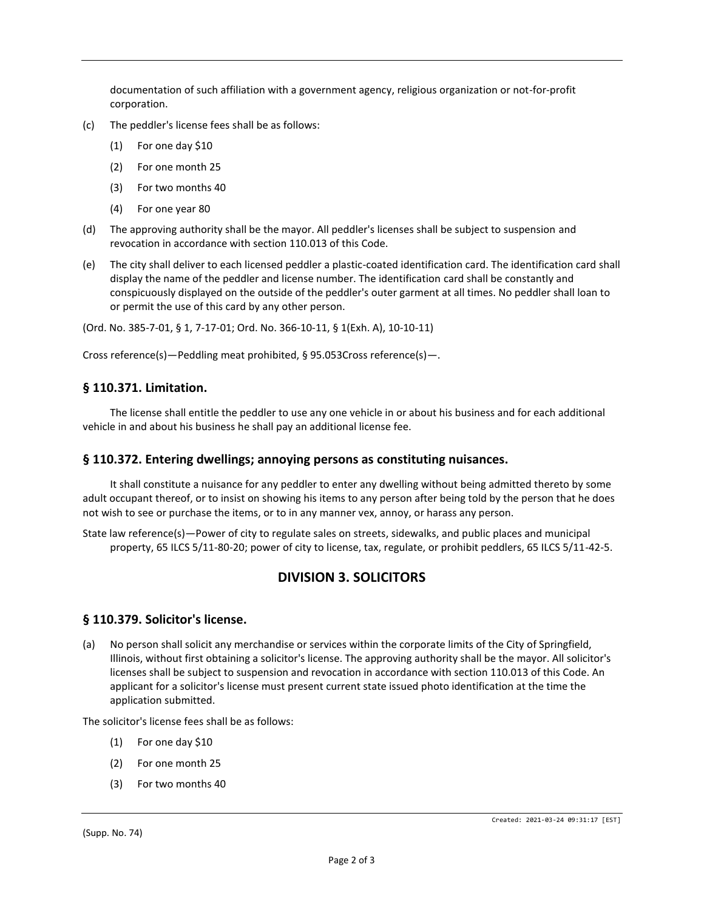documentation of such affiliation with a government agency, religious organization or not-for-profit corporation.

- (c) The peddler's license fees shall be as follows:
	- (1) For one day \$10
	- (2) For one month 25
	- (3) For two months 40
	- (4) For one year 80
- (d) The approving authority shall be the mayor. All peddler's licenses shall be subject to suspension and revocation in accordance with section 110.013 of this Code.
- (e) The city shall deliver to each licensed peddler a plastic-coated identification card. The identification card shall display the name of the peddler and license number. The identification card shall be constantly and conspicuously displayed on the outside of the peddler's outer garment at all times. No peddler shall loan to or permit the use of this card by any other person.

(Ord. No. 385-7-01, § 1, 7-17-01; Ord. No. 366-10-11, § 1(Exh. A), 10-10-11)

Cross reference(s)—Peddling meat prohibited, § 95.053Cross reference(s)—.

#### **§ 110.371. Limitation.**

The license shall entitle the peddler to use any one vehicle in or about his business and for each additional vehicle in and about his business he shall pay an additional license fee.

#### **§ 110.372. Entering dwellings; annoying persons as constituting nuisances.**

It shall constitute a nuisance for any peddler to enter any dwelling without being admitted thereto by some adult occupant thereof, or to insist on showing his items to any person after being told by the person that he does not wish to see or purchase the items, or to in any manner vex, annoy, or harass any person.

State law reference(s)—Power of city to regulate sales on streets, sidewalks, and public places and municipal property, 65 ILCS 5/11-80-20; power of city to license, tax, regulate, or prohibit peddlers, 65 ILCS 5/11-42-5.

## **DIVISION 3. SOLICITORS**

#### **§ 110.379. Solicitor's license.**

(a) No person shall solicit any merchandise or services within the corporate limits of the City of Springfield, Illinois, without first obtaining a solicitor's license. The approving authority shall be the mayor. All solicitor's licenses shall be subject to suspension and revocation in accordance with section 110.013 of this Code. An applicant for a solicitor's license must present current state issued photo identification at the time the application submitted.

The solicitor's license fees shall be as follows:

- (1) For one day \$10
- (2) For one month 25
- (3) For two months 40